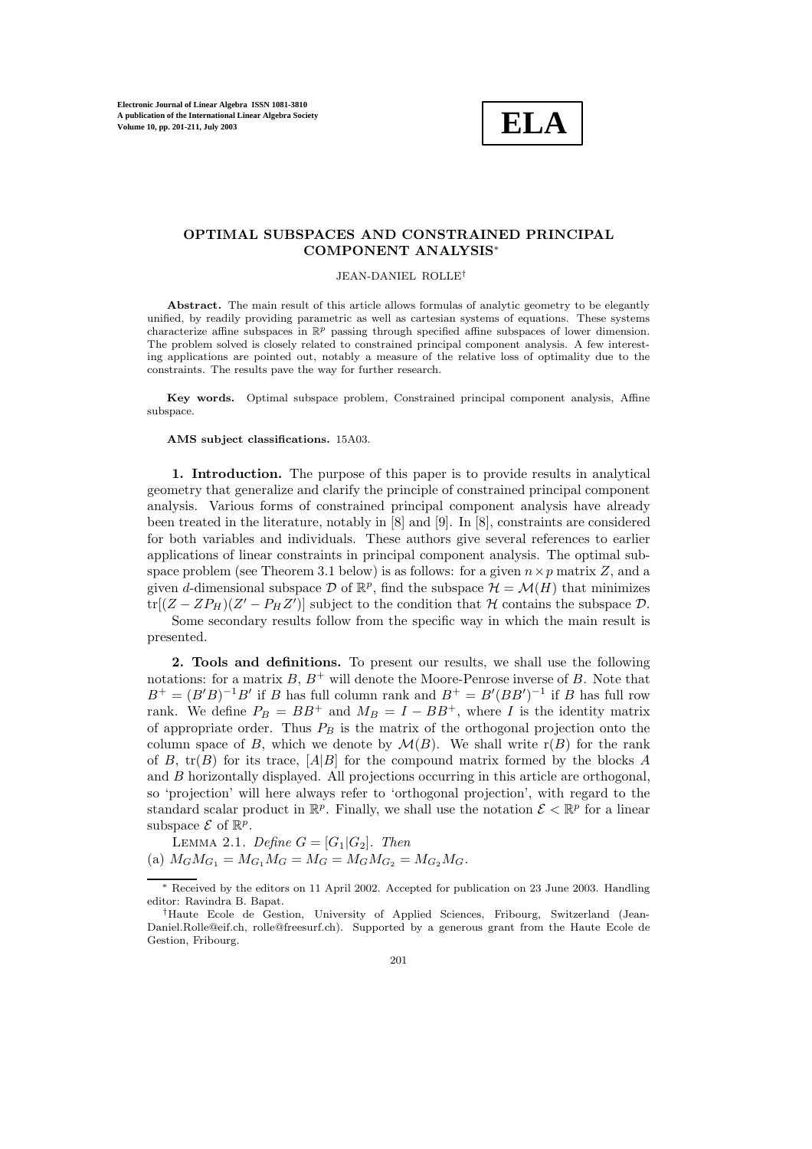**Electronic Journal of Linear Algebra ISSN 1081-3810 A publication of the International Linear Algebra Society Volume 10, pp. 201-211, July 2003**



## **OPTIMAL SUBSPACES AND CONSTRAINED PRINCIPAL COMPONENT ANALYSIS**∗

JEAN-DANIEL ROLLE†

Abstract. The main result of this article allows formulas of analytic geometry to be elegantly unified, by readily providing parametric as well as cartesian systems of equations. These systems characterize affine subspaces in  $\mathbb{R}^p$  passing through specified affine subspaces of lower dimension. The problem solved is closely related to constrained principal component analysis. A few interesting applications are pointed out, notably a measure of the relative loss of optimality due to the constraints. The results pave the way for further research.

Key words. Optimal subspace problem, Constrained principal component analysis, Affine subspace.

**AMS subject classifications.** 15A03.

**1. Introduction.** The purpose of this paper is to provide results in analytical geometry that generalize and clarify the principle of constrained principal component analysis. Various forms of constrained principal component analysis have already been treated in the literature, notably in [8] and [9]. In [8], constraints are considered for both variables and individuals. These authors give several references to earlier applications of linear constraints in principal component analysis. The optimal subspace problem (see Theorem 3.1 below) is as follows: for a given  $n \times p$  matrix Z, and a given d-dimensional subspace  $\mathcal D$  of  $\mathbb{R}^p$ , find the subspace  $\mathcal H = \mathcal M(H)$  that minimizes  $tr[(Z - ZP_H)(Z' - P_H Z')]$  subject to the condition that H contains the subspace D. Some secondary results follow from the specific way in which the main result is presented.

**2. Tools and definitions.** To present our results, we shall use the following notations: for a matrix  $B, B^+$  will denote the Moore-Penrose inverse of  $B$ . Note that  $B^+ = (B'B)^{-1}B'$  if B has full column rank and  $B^+ = B'(BB')^{-1}$  if B has full row rank. We define  $P_B = BB^+$  and  $M_B = I - BB^+$ , where I is the identity matrix of appropriate order. Thus  $P_B$  is the matrix of the orthogonal projection onto the column space of B, which we denote by  $\mathcal{M}(B)$ . We shall write r(B) for the rank of B,  $tr(B)$  for its trace,  $A|B|$  for the compound matrix formed by the blocks A and B horizontally displayed. All projections occurring in this article are orthogonal, so 'projection' will here always refer to 'orthogonal projection', with regard to the standard scalar product in  $\mathbb{R}^p$ . Finally, we shall use the notation  $\mathcal{E} < \mathbb{R}^p$  for a linear subspace  $\mathcal E$  of  $\mathbb R^p$ .

LEMMA 2.1. *Define*  $G = [G_1 | G_2]$ *. Then* (a)  $M_G M_{G_1} = M_{G_1} M_G = M_G = M_G M_{G_2} = M_G M_G$ .

<sup>∗</sup> Received by the editors on 11 April 2002. Accepted for publication on 23 June 2003. Handling editor: Ravindra B. Bapat.

<sup>&</sup>lt;sup>†</sup>Haute Ecole de Gestion, University of Applied Sciences, Fribourg, Switzerland (Jean-Daniel.Rolle@eif.ch, rolle@freesurf.ch). Supported by a generous grant from the Haute Ecole de Gestion, Fribourg.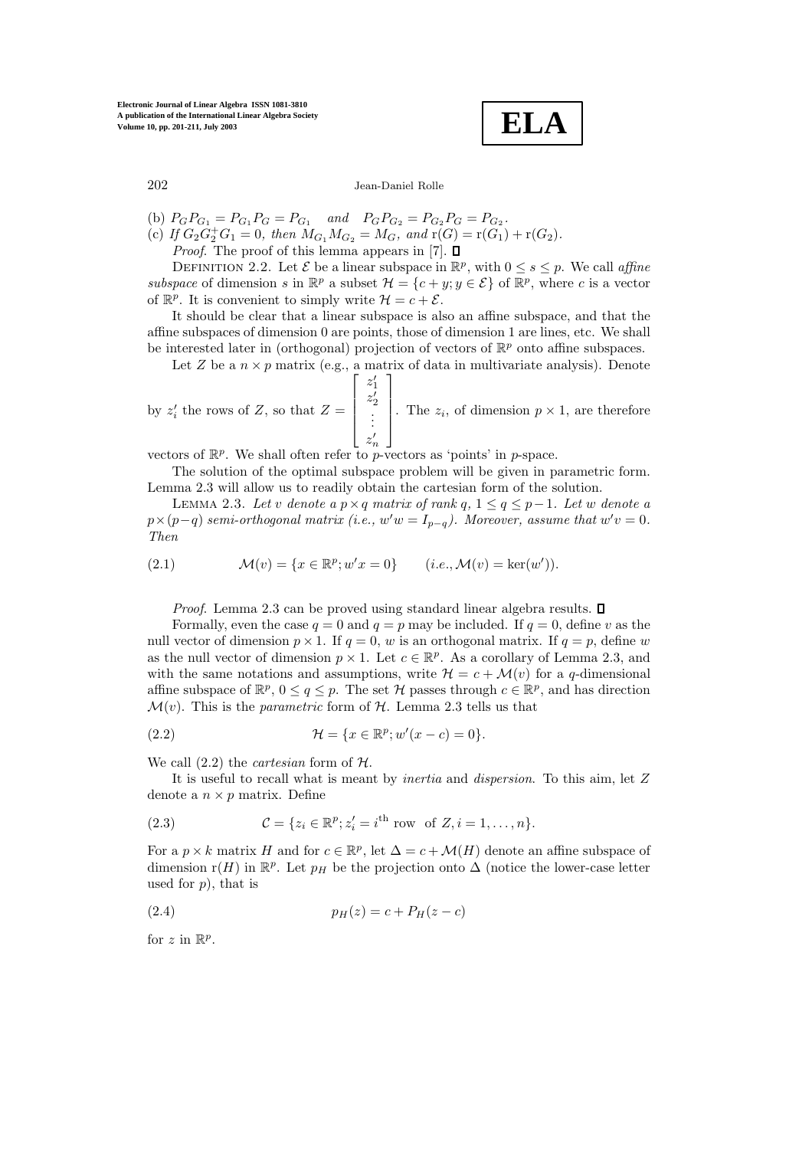**ELA**

- (b)  $P_G P_{G_1} = P_{G_1} P_G = P_{G_1}$  *and*  $P_G P_{G_2} = P_{G_2} P_G = P_{G_2}$ *.*
- (c) *If*  $G_2G_2^+G_1 = 0$ *, then*  $M_{G_1}M_{G_2} = M_G$ *, and*  $r(G) = r(G_1) + r(G_2)$ *.*
- *Proof.* The proof of this lemma appears in [7].  $\square$

DEFINITION 2.2. Let  $\mathcal E$  be a linear subspace in  $\mathbb R^p$ , with  $0 \leq s \leq p$ . We call *affine subspace* of dimension s in  $\mathbb{R}^p$  a subset  $\mathcal{H} = \{c + y; y \in \mathcal{E}\}\$  of  $\mathbb{R}^p$ , where c is a vector of  $\mathbb{R}^p$ . It is convenient to simply write  $\mathcal{H} = c + \mathcal{E}$ .

It should be clear that a linear subspace is also an affine subspace, and that the affine subspaces of dimension 0 are points, those of dimension 1 are lines, etc. We shall be interested later in (orthogonal) projection of vectors of  $\mathbb{R}^p$  onto affine subspaces.

Let Z be a  $n \times p$  matrix (e.g., a matrix of data in multivariate analysis). Denote

by  $z_i'$  the rows of Z, so that  $Z =$  $\sqrt{ }$   $z_1'$ <br> $z_2'$ <br>:  $z'_n$ 1 . The  $z_i$ , of dimension  $p \times 1$ , are therefore

vectors of  $\mathbb{R}^p$ . We shall often refer to p-vectors as 'points' in p-space.

The solution of the optimal subspace problem will be given in parametric form. Lemma 2.3 will allow us to readily obtain the cartesian form of the solution.

LEMMA 2.3. Let v denote a  $p \times q$  matrix of rank q,  $1 \leq q \leq p-1$ . Let w denote a  $p \times (p-q)$  semi-orthogonal matrix (i.e.,  $w'w = I_{p-q}$ ). Moreover, assume that  $w'v = 0$ . *Then*

(2.1) 
$$
\mathcal{M}(v) = \{x \in \mathbb{R}^p; w'x = 0\} \qquad (i.e., \mathcal{M}(v) = \ker(w')).
$$

*Proof.* Lemma 2.3 can be proved using standard linear algebra results.  $\square$ 

Formally, even the case  $q = 0$  and  $q = p$  may be included. If  $q = 0$ , define v as the null vector of dimension  $p \times 1$ . If  $q = 0$ , w is an orthogonal matrix. If  $q = p$ , define w as the null vector of dimension  $p \times 1$ . Let  $c \in \mathbb{R}^p$ . As a corollary of Lemma 2.3, and with the same notations and assumptions, write  $\mathcal{H} = c + \mathcal{M}(v)$  for a q-dimensional affine subspace of  $\mathbb{R}^p$ ,  $0 \le q \le p$ . The set H passes through  $c \in \mathbb{R}^p$ , and has direction  $\mathcal{M}(v)$ . This is the *parametric* form of  $\mathcal{H}$ . Lemma 2.3 tells us that

(2.2) 
$$
\mathcal{H} = \{x \in \mathbb{R}^p; w'(x - c) = 0\}.
$$

We call (2.2) the *cartesian* form of H.

It is useful to recall what is meant by *inertia* and *dispersion*. To this aim, let Z denote a  $n \times p$  matrix. Define

(2.3) 
$$
C = \{ z_i \in \mathbb{R}^p; z'_i = i^{\text{th}} \text{ row of } Z, i = 1, ..., n \}.
$$

For a  $p \times k$  matrix H and for  $c \in \mathbb{R}^p$ , let  $\Delta = c + \mathcal{M}(H)$  denote an affine subspace of dimension r(H) in  $\mathbb{R}^p$ . Let  $p_H$  be the projection onto  $\Delta$  (notice the lower-case letter used for  $p$ ), that is

(2.4) 
$$
p_H(z) = c + P_H(z - c)
$$

for z in  $\mathbb{R}^p$ .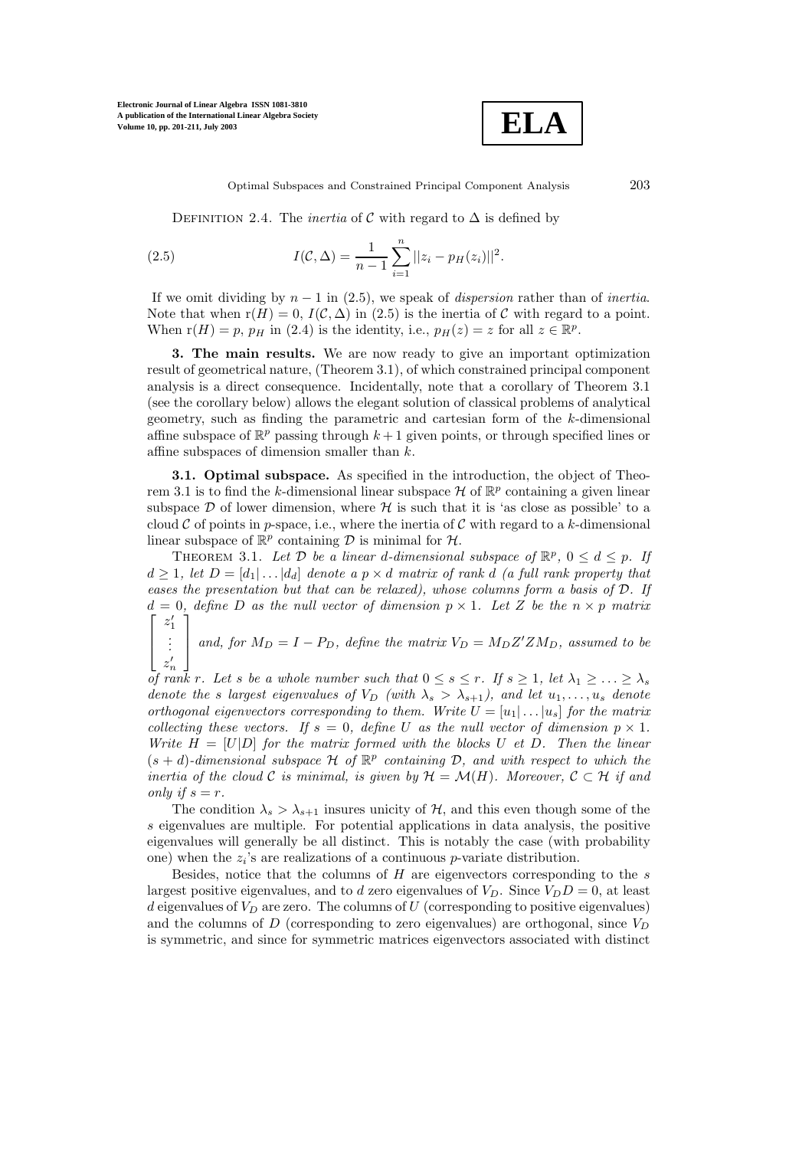

Optimal Subspaces and Constrained Principal Component Analysis 203

DEFINITION 2.4. The *inertia* of  $\mathcal C$  with regard to  $\Delta$  is defined by

(2.5) 
$$
I(C, \Delta) = \frac{1}{n-1} \sum_{i=1}^{n} ||z_i - p_H(z_i)||^2.
$$

If we omit dividing by  $n - 1$  in (2.5), we speak of *dispersion* rather than of *inertia*. Note that when  $r(H) = 0$ ,  $I(C, \Delta)$  in (2.5) is the inertia of C with regard to a point. When  $r(H) = p$ ,  $p_H$  in (2.4) is the identity, i.e.,  $p_H(z) = z$  for all  $z \in \mathbb{R}^p$ .

**3. The main results.** We are now ready to give an important optimization result of geometrical nature, (Theorem 3.1), of which constrained principal component analysis is a direct consequence. Incidentally, note that a corollary of Theorem 3.1 (see the corollary below) allows the elegant solution of classical problems of analytical geometry, such as finding the parametric and cartesian form of the k-dimensional affine subspace of  $\mathbb{R}^p$  passing through  $k+1$  given points, or through specified lines or affine subspaces of dimension smaller than k.

**3.1. Optimal subspace.** As specified in the introduction, the object of Theorem 3.1 is to find the k-dimensional linear subspace  $\mathcal H$  of  $\mathbb{R}^p$  containing a given linear subspace  $\mathcal D$  of lower dimension, where  $\mathcal H$  is such that it is 'as close as possible' to a cloud C of points in p-space, i.e., where the inertia of C with regard to a k-dimensional linear subspace of  $\mathbb{R}^p$  containing  $\mathcal D$  is minimal for  $\mathcal H$ .

THEOREM 3.1. Let  $D$  be a linear d-dimensional subspace of  $\mathbb{R}^p$ ,  $0 \leq d \leq p$ . If  $d \geq 1$ , let  $D = [d_1 | \dots | d_d]$  denote a  $p \times d$  matrix of rank d (a full rank property that *eases the presentation but that can be relaxed), whose columns form a basis of* D*. If*  $d = 0$ , define D as the null vector of dimension  $p \times 1$ . Let Z be the  $n \times p$  matrix  $\sqrt{ }$  $z'_1$ 1

 $\overline{1}$  $\Big| \begin{array}{c} \cdot \\ z'_n \end{array}$ *. . .*  $\vert$ and, for  $M_D = I - P_D$ , define the matrix  $V_D = M_D Z' Z M_D$ , assumed to be

*of rank r. Let* s *be a whole number such that*  $0 \leq s \leq r$ *. If*  $s \geq 1$ *, let*  $\lambda_1 \geq \ldots \geq \lambda_s$ *denote the s largest eigenvalues of*  $V_D$  *(with*  $\lambda_s > \lambda_{s+1}$ *), and let*  $u_1, \ldots, u_s$  *denote orthogonal eigenvectors corresponding to them. Write*  $U = [u_1 | \dots | u_s]$  *for the matrix collecting these vectors. If*  $s = 0$ , define U as the null vector of dimension  $p \times 1$ . *Write*  $H = [U|D]$  *for the matrix formed with the blocks* U *et* D. *Then the linear*  $(s + d)$ -dimensional subspace H of  $\mathbb{R}^p$  containing D, and with respect to which the *inertia of the cloud*  $\mathcal C$  *is minimal, is given by*  $\mathcal H = \mathcal M(H)$ *. Moreover,*  $\mathcal C \subset \mathcal H$  *if and only if*  $s = r$ *.* 

The condition  $\lambda_s > \lambda_{s+1}$  insures unicity of H, and this even though some of the s eigenvalues are multiple. For potential applications in data analysis, the positive eigenvalues will generally be all distinct. This is notably the case (with probability one) when the  $z_i$ 's are realizations of a continuous p-variate distribution.

Besides, notice that the columns of  $H$  are eigenvectors corresponding to the s largest positive eigenvalues, and to d zero eigenvalues of  $V_D$ . Since  $V_D D = 0$ , at least d eigenvalues of  $V_D$  are zero. The columns of U (corresponding to positive eigenvalues) and the columns of D (corresponding to zero eigenvalues) are orthogonal, since  $V_D$ is symmetric, and since for symmetric matrices eigenvectors associated with distinct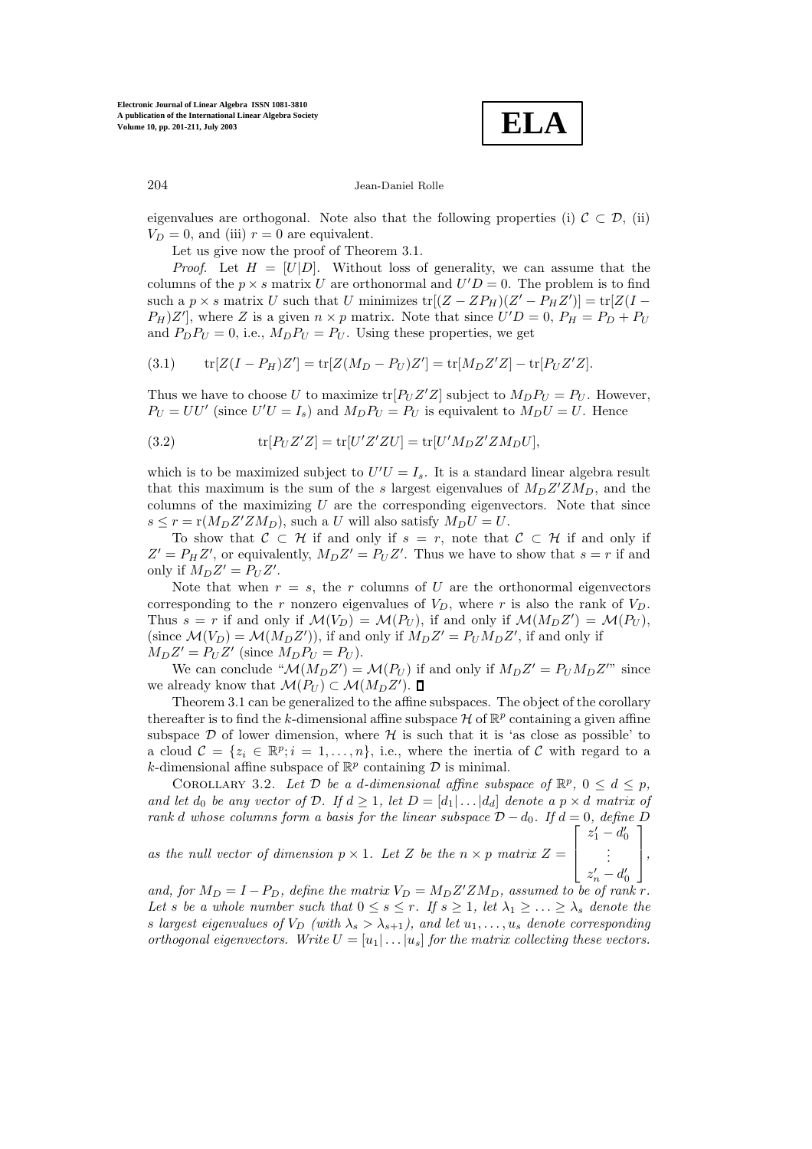

eigenvalues are orthogonal. Note also that the following properties (i)  $\mathcal{C} \subset \mathcal{D}$ , (ii)  $V_D = 0$ , and (iii)  $r = 0$  are equivalent.

Let us give now the proof of Theorem 3.1.

*Proof.* Let  $H = [U|D]$ . Without loss of generality, we can assume that the columns of the  $p \times s$  matrix U are orthonormal and  $U'D = 0$ . The problem is to find such a  $p \times s$  matrix U such that U minimizes  $tr[(Z - ZP_H)(Z' - P_HZ')] = tr[Z(I P_H[Z']$ , where Z is a given  $n \times p$  matrix. Note that since  $U'D = 0$ ,  $P_H = P_D + P_U$ and  $P_D P_U = 0$ , i.e.,  $M_D P_U = P_U$ . Using these properties, we get

(3.1) 
$$
\text{tr}[Z(I - P_H)Z'] = \text{tr}[Z(M_D - P_U)Z'] = \text{tr}[M_D Z'Z] - \text{tr}[P_U Z'Z].
$$

Thus we have to choose U to maximize  $tr[P_U Z'Z]$  subject to  $M_D P_U = P_U$ . However,  $P_U = U U'$  (since  $U'U = I_s$ ) and  $M_D P_U = P_U$  is equivalent to  $M_D U = U$ . Hence

(3.2) 
$$
\operatorname{tr}[P_U Z' Z] = \operatorname{tr}[U' Z' Z U] = \operatorname{tr}[U'M_D Z' Z M_D U],
$$

which is to be maximized subject to  $U'U = I_s$ . It is a standard linear algebra result that this maximum is the sum of the s largest eigenvalues of  $M_D Z' Z M_D$ , and the columns of the maximizing  $U$  are the corresponding eigenvectors. Note that since  $s \le r = r(M_D Z' Z M_D)$ , such a U will also satisfy  $M_D U = U$ .

To show that  $C\subset\mathcal{H}$  if and only if  $s = r$ , note that  $C\subset\mathcal{H}$  if and only if  $Z' = P_H Z'$ , or equivalently,  $M_D Z' = P_U Z'$ . Thus we have to show that  $s = r$  if and only if  $M_D Z' = P_U Z'$ .

Note that when  $r = s$ , the r columns of U are the orthonormal eigenvectors corresponding to the r nonzero eigenvalues of  $V_D$ , where r is also the rank of  $V_D$ . Thus  $s = r$  if and only if  $\mathcal{M}(V_D) = \mathcal{M}(P_U)$ , if and only if  $\mathcal{M}(M_D Z') = \mathcal{M}(P_U)$ , (since  $\mathcal{M}(V_D) = \mathcal{M}(M_D Z'))$ , if and only if  $M_D Z' = P_U M_D Z'$ , if and only if  $M_D Z' = P_U Z'$  (since  $M_D P_U = P_U$ ).

We can conclude " $\mathcal{M}(M_D Z') = \mathcal{M}(P_U)$  if and only if  $M_D Z' = P_U M_D Z''$  since we already know that  $\mathcal{M}(P_U) \subset \mathcal{M}(M_D Z').$ 

Theorem 3.1 can be generalized to the affine subspaces. The object of the corollary thereafter is to find the k-dimensional affine subspace H of  $\mathbb{R}^p$  containing a given affine subspace  $D$  of lower dimension, where  $H$  is such that it is 'as close as possible' to a cloud  $\mathcal{C} = \{z_i \in \mathbb{R}^p; i = 1,\ldots,n\}$ , i.e., where the inertia of  $\mathcal{C}$  with regard to a k-dimensional affine subspace of  $\mathbb{R}^p$  containing  $\mathcal D$  is minimal.

COROLLARY 3.2. Let  $\mathcal{D}$  be a d-dimensional affine subspace of  $\mathbb{R}^p$ ,  $0 \leq d \leq p$ , and let  $d_0$  be any vector of  $D$ . If  $d \geq 1$ , let  $D = [d_1 | \dots | d_d]$  denote a  $p \times d$  matrix of *rank* d *whose columns form a basis for the linear subspace*  $D - d_0$ *. If*  $d = 0$ *, define* D  $\lceil z'_1 - d'_0 \rceil$ 1

*as the null vector of dimension*  $p \times 1$ *. Let* Z *be the*  $n \times p$  *matrix*  $Z =$  $\overline{1}$ *. . .*  $z'_n - d'_0$ *,*

and, for  $M_D = I - P_D$ , define the matrix  $V_D = M_D Z' Z M_D$ , assumed to be of rank r. *Let* s *be a whole number such that*  $0 \leq s \leq r$ *. If*  $s \geq 1$ *, let*  $\lambda_1 \geq \ldots \geq \lambda_s$  *denote the* s *largest eigenvalues of*  $V_D$  *(with*  $\lambda_s > \lambda_{s+1}$ *), and let*  $u_1, \ldots, u_s$  *denote corresponding orthogonal eigenvectors.* Write  $U = [u_1 | \dots | u_s]$  *for the matrix collecting these vectors.*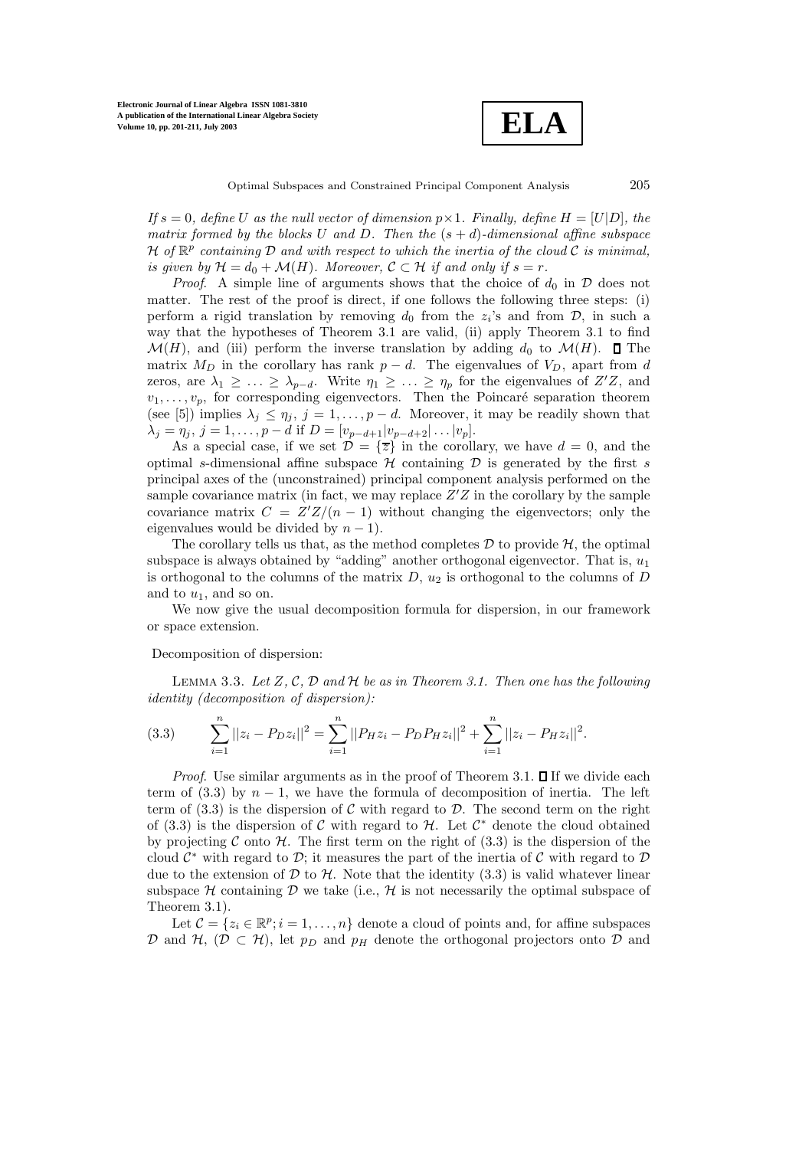

*If*  $s = 0$ *, define* U *as the null vector of dimension*  $p \times 1$ *. Finally, define*  $H = [U|D]$ *, the matrix formed by the blocks* U *and* D. Then the  $(s + d)$ -dimensional affine subspace  $\mathcal H$  *of*  $\mathbb R^p$  *containing*  $\mathcal D$  *and with respect to which the inertia of the cloud*  $\mathcal C$  *is minimal, is given by*  $\mathcal{H} = d_0 + \mathcal{M}(H)$ *. Moreover,*  $\mathcal{C} \subset \mathcal{H}$  *if and only if*  $s = r$ *.* 

*Proof.* A simple line of arguments shows that the choice of  $d_0$  in  $D$  does not matter. The rest of the proof is direct, if one follows the following three steps: (i) perform a rigid translation by removing  $d_0$  from the  $z_i$ 's and from  $D$ , in such a way that the hypotheses of Theorem 3.1 are valid, (ii) apply Theorem 3.1 to find  $\mathcal{M}(H)$ , and (iii) perform the inverse translation by adding  $d_0$  to  $\mathcal{M}(H)$ .  $\Box$  The matrix  $M_D$  in the corollary has rank  $p - d$ . The eigenvalues of  $V_D$ , apart from d zeros, are  $\lambda_1 \geq \ldots \geq \lambda_{p-d}$ . Write  $\eta_1 \geq \ldots \geq \eta_p$  for the eigenvalues of  $Z'Z$ , and  $v_1,\ldots,v_p$ , for corresponding eigenvectors. Then the Poincaré separation theorem (see [5]) implies  $\lambda_j \leq \eta_j$ ,  $j = 1, \ldots, p - d$ . Moreover, it may be readily shown that  $\lambda_i = \eta_i, j = 1, \ldots, p - d$  if  $D = [v_{p-d+1}|v_{p-d+2}| \ldots |v_p].$ 

As a special case, if we set  $\mathcal{D} = {\overline{z}}$  in the corollary, we have  $d = 0$ , and the optimal s-dimensional affine subspace  $\mathcal H$  containing  $\mathcal D$  is generated by the first s principal axes of the (unconstrained) principal component analysis performed on the sample covariance matrix (in fact, we may replace  $Z'Z$  in the corollary by the sample covariance matrix  $C = \frac{Z'Z}{n-1}$  without changing the eigenvectors; only the eigenvalues would be divided by  $n - 1$ ).

The corollary tells us that, as the method completes  $D$  to provide  $H$ , the optimal subspace is always obtained by "adding" another orthogonal eigenvector. That is,  $u_1$ is orthogonal to the columns of the matrix  $D, u_2$  is orthogonal to the columns of D and to  $u_1$ , and so on.

We now give the usual decomposition formula for dispersion, in our framework or space extension.

Decomposition of dispersion:

Lemma 3.3. *Let* Z*,* C*,* D *and* H *be as in Theorem 3.1. Then one has the following identity (decomposition of dispersion):*

(3.3) 
$$
\sum_{i=1}^{n} ||z_i - P_D z_i||^2 = \sum_{i=1}^{n} ||P_H z_i - P_D P_H z_i||^2 + \sum_{i=1}^{n} ||z_i - P_H z_i||^2.
$$

*Proof.* Use similar arguments as in the proof of Theorem 3.1. If we divide each term of (3.3) by  $n-1$ , we have the formula of decomposition of inertia. The left term of  $(3.3)$  is the dispersion of C with regard to D. The second term on the right of (3.3) is the dispersion of C with regard to  $H$ . Let  $\mathcal{C}^*$  denote the cloud obtained by projecting C onto  $H$ . The first term on the right of (3.3) is the dispersion of the cloud  $\mathcal{C}^*$  with regard to  $\mathcal{D}$ ; it measures the part of the inertia of  $\mathcal C$  with regard to  $\mathcal D$ due to the extension of  $D$  to  $H$ . Note that the identity (3.3) is valid whatever linear subspace  $H$  containing  $D$  we take (i.e.,  $H$  is not necessarily the optimal subspace of Theorem 3.1).

Let  $C = \{z_i \in \mathbb{R}^p; i = 1, \ldots, n\}$  denote a cloud of points and, for affine subspaces D and H,  $(\mathcal{D} \subset \mathcal{H})$ , let  $p_D$  and  $p_H$  denote the orthogonal projectors onto D and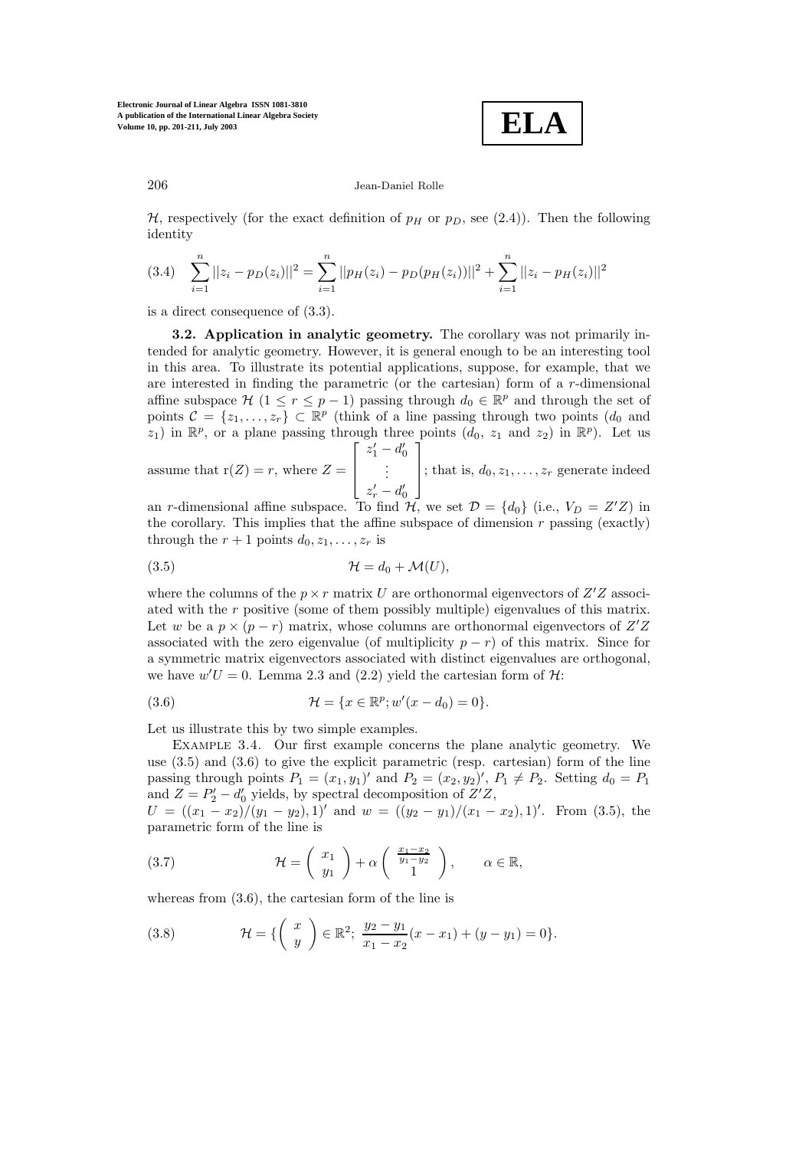**Electronic Journal of Linear Algebra ISSN 1081-3810 A publication of the International Linear Algebra Society Volume 10, pp. 201-211, July 2003**

**ELA**

206 Jean-Daniel Rolle

 $H$ , respectively (for the exact definition of  $p<sub>H</sub>$  or  $p<sub>D</sub>$ , see (2.4)). Then the following identity

$$
(3.4) \quad \sum_{i=1}^{n} ||z_i - p_D(z_i)||^2 = \sum_{i=1}^{n} ||p_H(z_i) - p_D(p_H(z_i))||^2 + \sum_{i=1}^{n} ||z_i - p_H(z_i)||^2
$$

is a direct consequence of (3.3).

**3.2. Application in analytic geometry.** The corollary was not primarily intended for analytic geometry. However, it is general enough to be an interesting tool in this area. To illustrate its potential applications, suppose, for example, that we are interested in finding the parametric (or the cartesian) form of a r-dimensional affine subspace  $\mathcal{H}$  (1  $\leq r \leq p-1$ ) passing through  $d_0 \in \mathbb{R}^p$  and through the set of points  $\mathcal{C} = \{z_1,\ldots,z_r\} \subset \mathbb{R}^p$  (think of a line passing through two points  $(d_0 \text{ and }$  $z_1$ ) in  $\mathbb{R}^p$ , or a plane passing through three points  $(d_0, z_1 \text{ and } z_2)$  in  $\mathbb{R}^p$ ). Let us  $\lceil$ 1

assume that  $r(Z) = r$ , where  $Z =$  $\Big\}$  $z'_1 - d'_0$ <br>:  $z'_r - d'_0$ ; that is,  $d_0, z_1, \ldots, z_r$  generate indeed

an r-dimensional affine subspace. To find  $\mathcal{H}$ , we set  $\mathcal{D} = \{d_0\}$  (i.e.,  $V_D = Z'Z$ ) in the corollary. This implies that the affine subspace of dimension  $r$  passing (exactly) through the  $r + 1$  points  $d_0, z_1, \ldots, z_r$  is

$$
(3.5) \t\t\t \mathcal{H} = d_0 + \mathcal{M}(U),
$$

where the columns of the  $p \times r$  matrix U are orthonormal eigenvectors of  $Z'Z$  associated with the r positive (some of them possibly multiple) eigenvalues of this matrix. Let w be a  $p \times (p - r)$  matrix, whose columns are orthonormal eigenvectors of  $Z'Z$ associated with the zero eigenvalue (of multiplicity  $p - r$ ) of this matrix. Since for a symmetric matrix eigenvectors associated with distinct eigenvalues are orthogonal, we have  $w'U = 0$ . Lemma 2.3 and (2.2) yield the cartesian form of  $\mathcal{H}$ :

(3.6) 
$$
\mathcal{H} = \{x \in \mathbb{R}^p; w'(x - d_0) = 0\}.
$$

Let us illustrate this by two simple examples.

Example 3.4. Our first example concerns the plane analytic geometry. We use (3.5) and (3.6) to give the explicit parametric (resp. cartesian) form of the line passing through points  $P_1 = (x_1, y_1)'$  and  $P_2 = (x_2, y_2)'$ ,  $P_1 \neq P_2$ . Setting  $d_0 = P_1$ and  $Z = P'_2 - d'_0$  yields, by spectral decomposition of  $Z'Z$ ,

 $U = ((x_1 - x_2)/(y_1 - y_2), 1)'$  and  $w = ((y_2 - y_1)/(x_1 - x_2), 1)'$ . From (3.5), the parametric form of the line is

(3.7) 
$$
\mathcal{H} = \begin{pmatrix} x_1 \\ y_1 \end{pmatrix} + \alpha \begin{pmatrix} \frac{x_1 - x_2}{y_1 - y_2} \\ 1 \end{pmatrix}, \quad \alpha \in \mathbb{R},
$$

whereas from (3.6), the cartesian form of the line is

(3.8) 
$$
\mathcal{H} = \left\{ \begin{pmatrix} x \\ y \end{pmatrix} \in \mathbb{R}^2; \ \frac{y_2 - y_1}{x_1 - x_2}(x - x_1) + (y - y_1) = 0 \right\}.
$$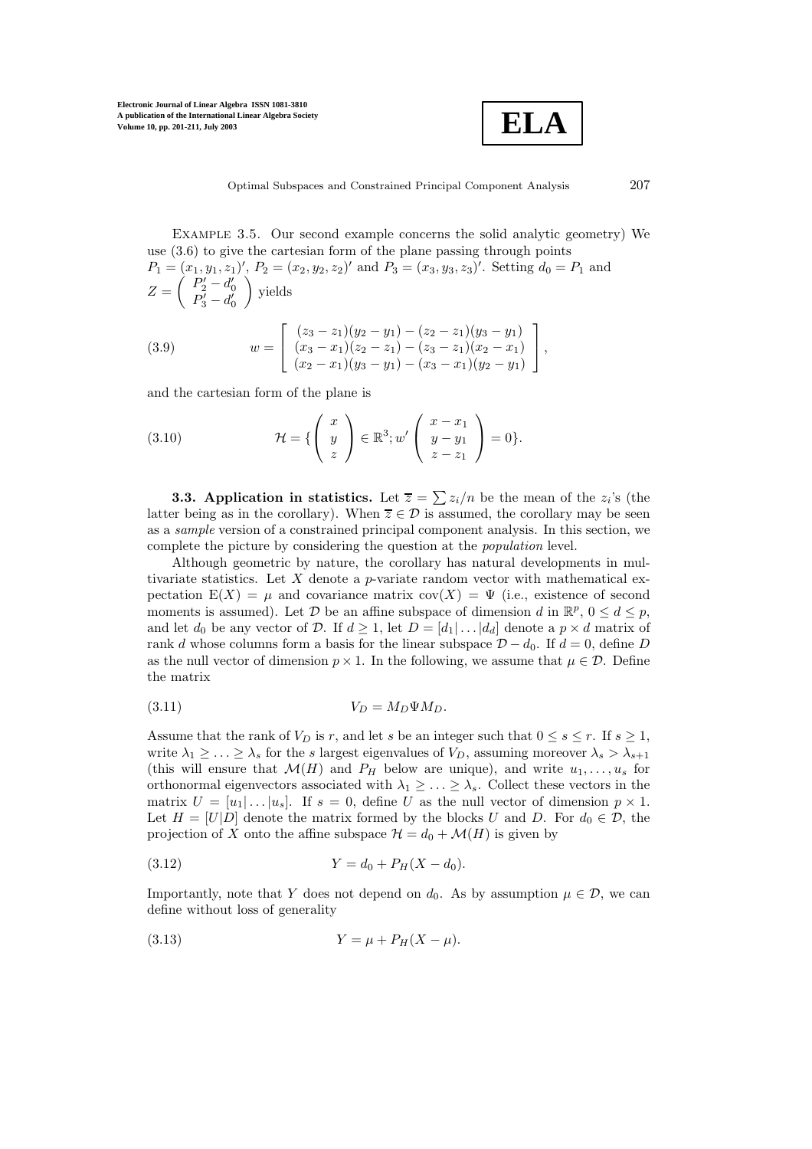

Example 3.5. Our second example concerns the solid analytic geometry) We use (3.6) to give the cartesian form of the plane passing through points  $P_1 = (x_1, y_1, z_1)'$ ,  $P_2 = (x_2, y_2, z_2)'$  and  $P_3 = (x_3, y_3, z_3)'$ . Setting  $d_0 = P_1$  and  $Z = \left( \begin{array}{c} P_2' - d_0' \ P_3' - d_0' \end{array} \right)$  yields

(3.9) 
$$
w = \begin{bmatrix} (z_3 - z_1)(y_2 - y_1) - (z_2 - z_1)(y_3 - y_1) \\ (x_3 - x_1)(z_2 - z_1) - (z_3 - z_1)(x_2 - x_1) \\ (x_2 - x_1)(y_3 - y_1) - (x_3 - x_1)(y_2 - y_1) \end{bmatrix},
$$

and the cartesian form of the plane is

(3.10) 
$$
\mathcal{H} = \left\{ \begin{pmatrix} x \\ y \\ z \end{pmatrix} \in \mathbb{R}^3; w' \begin{pmatrix} x - x_1 \\ y - y_1 \\ z - z_1 \end{pmatrix} = 0 \right\}.
$$

**3.3. Application in statistics.** Let  $\overline{z} = \sum z_i/n$  be the mean of the  $z_i$ 's (the latter being as in the corollary). When  $\overline{z} \in \mathcal{D}$  is assumed, the corollary may be seen as a *sample* version of a constrained principal component analysis. In this section, we complete the picture by considering the question at the *population* level.

Although geometric by nature, the corollary has natural developments in multivariate statistics. Let X denote a p-variate random vector with mathematical expectation  $E(X) = \mu$  and covariance matrix  $cov(X) = \Psi$  (i.e., existence of second moments is assumed). Let D be an affine subspace of dimension d in  $\mathbb{R}^p$ ,  $0 \leq d \leq p$ , and let  $d_0$  be any vector of D. If  $d \geq 1$ , let  $D = [d_1 | ... | d_d]$  denote a  $p \times d$  matrix of rank d whose columns form a basis for the linear subspace  $\mathcal{D} - d_0$ . If  $d = 0$ , define D as the null vector of dimension  $p \times 1$ . In the following, we assume that  $\mu \in \mathcal{D}$ . Define the matrix

$$
(3.11) \t\t V_D = M_D \Psi M_D.
$$

Assume that the rank of  $V_D$  is r, and let s be an integer such that  $0 \leq s \leq r$ . If  $s \geq 1$ , write  $\lambda_1 \geq \ldots \geq \lambda_s$  for the s largest eigenvalues of  $V_D$ , assuming moreover  $\lambda_s > \lambda_{s+1}$ (this will ensure that  $\mathcal{M}(H)$  and  $P_H$  below are unique), and write  $u_1,\ldots,u_s$  for orthonormal eigenvectors associated with  $\lambda_1 \geq \ldots \geq \lambda_s$ . Collect these vectors in the matrix  $U = [u_1, \ldots, u_s]$ . If  $s = 0$ , define U as the null vector of dimension  $p \times 1$ . Let  $H = [U|D]$  denote the matrix formed by the blocks U and D. For  $d_0 \in \mathcal{D}$ , the projection of X onto the affine subspace  $\mathcal{H} = d_0 + \mathcal{M}(H)$  is given by

(3.12) 
$$
Y = d_0 + P_H(X - d_0).
$$

Importantly, note that Y does not depend on  $d_0$ . As by assumption  $\mu \in \mathcal{D}$ , we can define without loss of generality

(3.13) 
$$
Y = \mu + P_H(X - \mu).
$$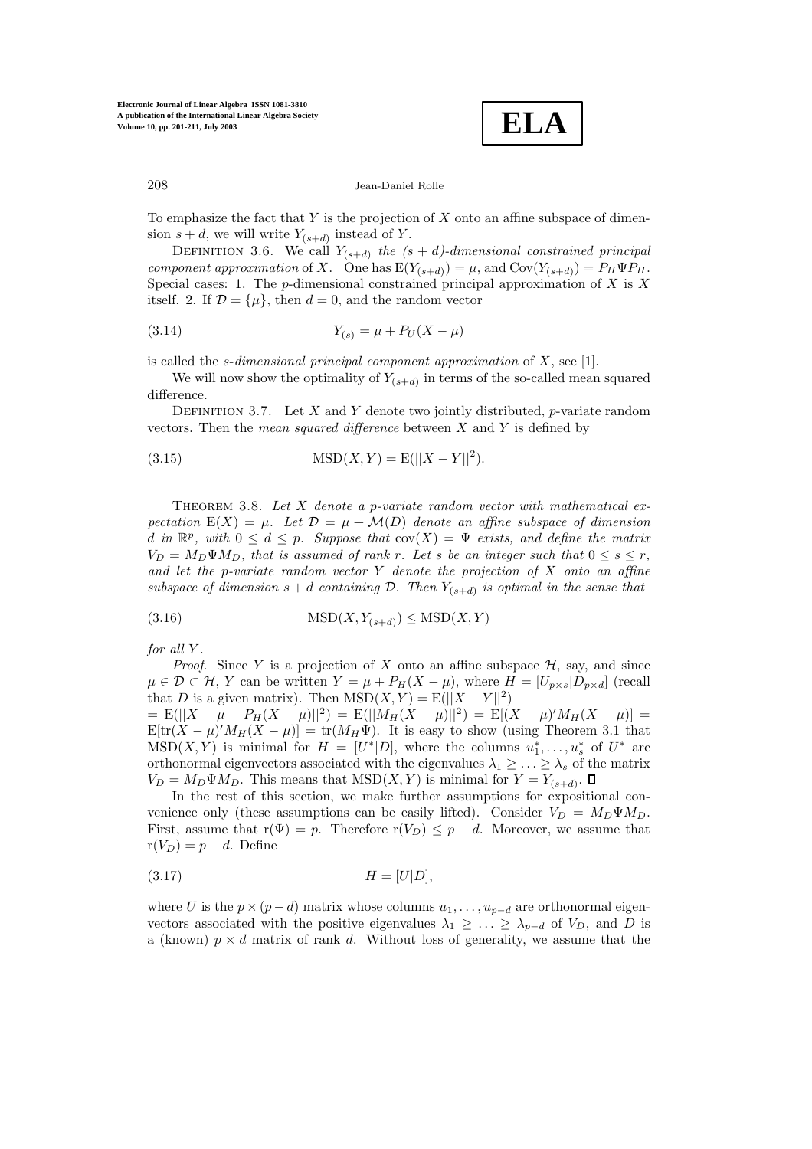**ELA**

To emphasize the fact that  $Y$  is the projection of  $X$  onto an affine subspace of dimension  $s + d$ , we will write  $Y_{(s+d)}$  instead of Y.

DEFINITION 3.6. We call  $Y_{(s+d)}$  *the*  $(s+d)$ -dimensional constrained principal *component approximation* of X. One has  $E(Y_{(s+d)}) = \mu$ , and  $Cov(Y_{(s+d)}) = P_H \Psi P_H$ . Special cases: 1. The p-dimensional constrained principal approximation of  $X$  is  $X$ itself. 2. If  $\mathcal{D} = {\mu}$ , then  $d = 0$ , and the random vector

(3.14) 
$$
Y_{(s)} = \mu + P_U(X - \mu)
$$

is called the s-*dimensional principal component approximation* of X, see [1].

We will now show the optimality of  $Y_{(s+d)}$  in terms of the so-called mean squared difference.

DEFINITION 3.7. Let X and Y denote two jointly distributed, p-variate random vectors. Then the *mean squared difference* between X and Y is defined by

(3.15) 
$$
MSD(X, Y) = E(||X - Y||^2).
$$

Theorem 3.8. *Let* X *denote a* p*-variate random vector with mathematical expectation*  $E(X) = \mu$ *. Let*  $\mathcal{D} = \mu + \mathcal{M}(D)$  *denote an affine subspace of dimension* d in  $\mathbb{R}^p$ , with  $0 \leq d \leq p$ . Suppose that  $cov(X) = \Psi$  exists, and define the matrix  $V_D = M_D \Psi M_D$ , that is assumed of rank r. Let s be an integer such that  $0 \leq s \leq r$ , *and let the* p*-variate random vector* Y *denote the projection of* X *onto an affine subspace of dimension*  $s + d$  *containing*  $D$ *. Then*  $Y_{(s+d)}$  *is optimal in the sense that* 

(3.16) 
$$
MSD(X, Y_{(s+d)}) \leq MSD(X, Y)
$$

*for all* Y *.*

*Proof.* Since Y is a projection of X onto an affine subspace  $H$ , say, and since  $\mu \in \mathcal{D} \subset \mathcal{H}$ , Y can be written  $Y = \mu + P_H(X - \mu)$ , where  $H = [U_{p \times s} | D_{p \times d}]$  (recall that D is a given matrix). Then  $\text{MSD}(X, Y) = \text{E}(||X - Y||^2)$  $=$  E(||X –  $\mu$  –  $P_H(X - \mu)||^2$ ) = E(||M<sub>H</sub>(X –  $\mu$ )||<sup>2</sup>) = E[(X –  $\mu$ )'M<sub>H</sub>(X –  $\mu$ )] =  $E[tr(X - \mu)'M_H(X - \mu)] = tr(M_H\Psi)$ . It is easy to show (using Theorem 3.1 that

 $\overline{\text{MSD}}(X,Y)$  is minimal for  $H = [U^*|D]$ , where the columns  $u_1^*, \ldots, u_s^*$  of  $U^*$  are orthonormal eigenvectors associated with the eigenvalues  $\lambda_1 \geq \ldots \geq \lambda_s$  of the matrix  $V_D = M_D \Psi M_D$ . This means that  $MSD(X, Y)$  is minimal for  $Y = Y_{(s+d)}$ .  $\Box$ 

In the rest of this section, we make further assumptions for expositional convenience only (these assumptions can be easily lifted). Consider  $V_D = M_D \Psi M_D$ . First, assume that  $r(\Psi) = p$ . Therefore  $r(V_D) \leq p - d$ . Moreover, we assume that  $r(V_D) = p - d$ . Define

$$
(3.17) \t\t\t H = [U|D],
$$

where U is the  $p \times (p - d)$  matrix whose columns  $u_1, \ldots, u_{p-d}$  are orthonormal eigenvectors associated with the positive eigenvalues  $\lambda_1 \geq \ldots \geq \lambda_{p-d}$  of  $V_D$ , and D is a (known)  $p \times d$  matrix of rank d. Without loss of generality, we assume that the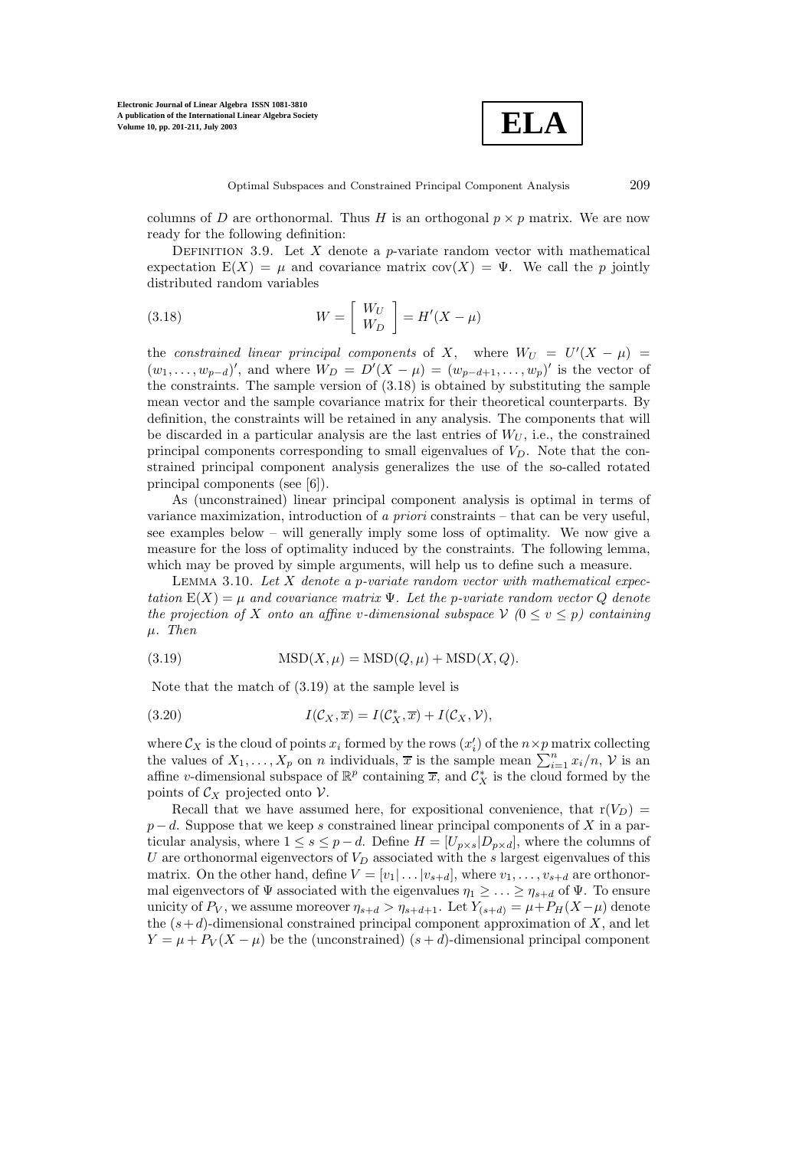

columns of D are orthonormal. Thus H is an orthogonal  $p \times p$  matrix. We are now ready for the following definition:

DEFINITION 3.9. Let X denote a p-variate random vector with mathematical expectation  $E(X) = \mu$  and covariance matrix  $cov(X) = \Psi$ . We call the p jointly distributed random variables

(3.18) 
$$
W = \begin{bmatrix} W_U \\ W_D \end{bmatrix} = H'(X - \mu)
$$

the *constrained linear principal components* of X, where  $W_U = U'(X - \mu)$  $(w_1,\ldots,w_{p-d})'$ , and where  $\overline{W}_D = D'(X-\mu) = (w_{p-d+1},\ldots,w_p)'$  is the vector of the constraints. The sample version of (3.18) is obtained by substituting the sample mean vector and the sample covariance matrix for their theoretical counterparts. By definition, the constraints will be retained in any analysis. The components that will be discarded in a particular analysis are the last entries of  $W_U$ , i.e., the constrained principal components corresponding to small eigenvalues of  $V_D$ . Note that the constrained principal component analysis generalizes the use of the so-called rotated principal components (see [6]).

As (unconstrained) linear principal component analysis is optimal in terms of variance maximization, introduction of *a priori* constraints – that can be very useful, see examples below – will generally imply some loss of optimality. We now give a measure for the loss of optimality induced by the constraints. The following lemma, which may be proved by simple arguments, will help us to define such a measure.

Lemma 3.10. *Let* X *denote a* p*-variate random vector with mathematical expectation*  $E(X) = \mu$  *and covariance matrix*  $\Psi$ *. Let the p-variate random vector* Q *denote the projection of* X *onto an affine v*-dimensional subspace  $V$  ( $0 \le v \le p$ ) containing µ*. Then*

(3.19) 
$$
MSD(X,\mu) = MSD(Q,\mu) + MSD(X,Q).
$$

Note that the match of (3.19) at the sample level is

(3.20) 
$$
I(C_X,\overline{x}) = I(C_X^*,\overline{x}) + I(C_X,\mathcal{V}),
$$

where  $\mathcal{C}_X$  is the cloud of points  $x_i$  formed by the rows  $(x_i')$  of the  $n \times p$  matrix collecting the values of  $X_1, \ldots, X_p$  on n individuals,  $\overline{x}$  is the sample mean  $\sum_{i=1}^n x_i/n$ ,  $\mathcal V$  is an affine v-dimensional subspace of  $\mathbb{R}^p$  containing  $\overline{x}$ , and  $\mathcal{C}_X^*$  is the cloud formed by the points of  $\mathcal{C}_X$  projected onto  $\mathcal{V}$ .

Recall that we have assumed here, for expositional convenience, that  $r(V_D)$  =  $p-d$ . Suppose that we keep s constrained linear principal components of X in a particular analysis, where  $1 \leq s \leq p-d$ . Define  $H = [U_{p \times s} | D_{p \times d}]$ , where the columns of U are orthonormal eigenvectors of  $V_D$  associated with the s largest eigenvalues of this matrix. On the other hand, define  $V = [v_1 | \dots | v_{s+d}]$ , where  $v_1, \dots, v_{s+d}$  are orthonormal eigenvectors of  $\Psi$  associated with the eigenvalues  $\eta_1 \geq \ldots \geq \eta_{s+d}$  of  $\Psi$ . To ensure unicity of  $P_V$ , we assume moreover  $\eta_{s+d} > \eta_{s+d+1}$ . Let  $Y_{(s+d)} = \mu + P_H(X - \mu)$  denote the  $(s+d)$ -dimensional constrained principal component approximation of X, and let  $Y = \mu + P_V(X - \mu)$  be the (unconstrained)  $(s + d)$ -dimensional principal component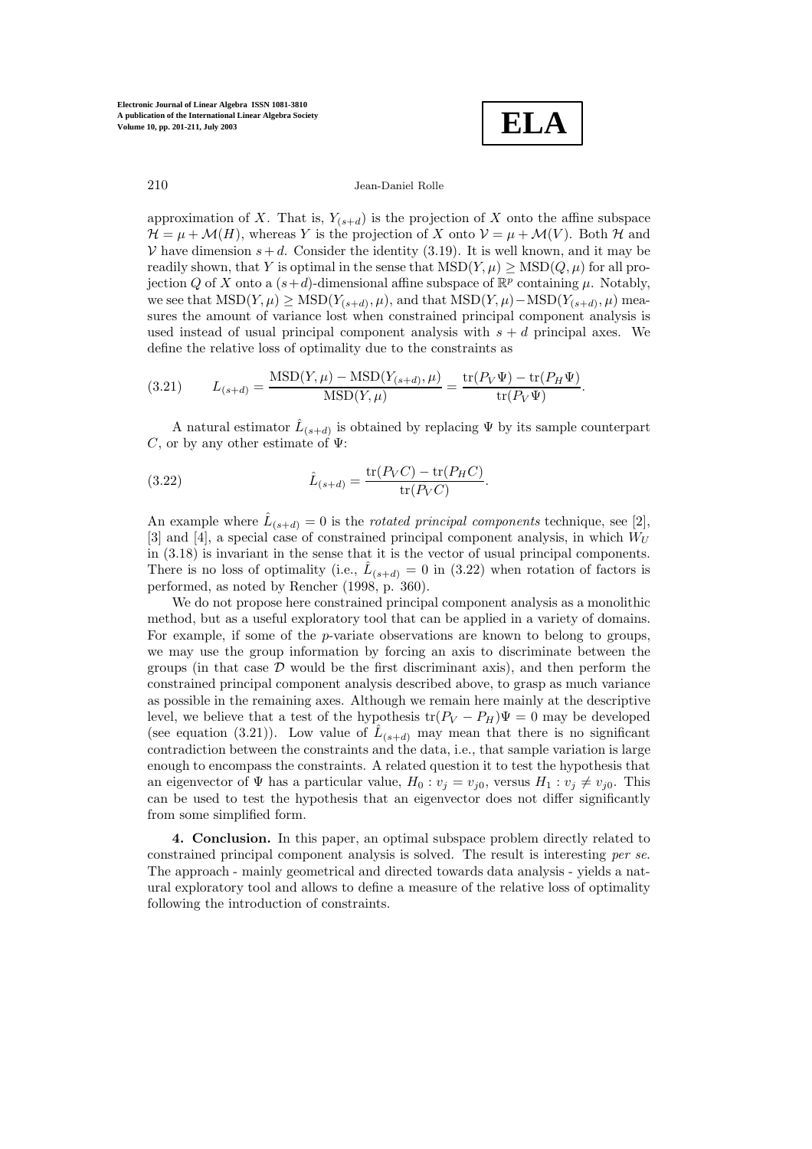**ELA**

approximation of X. That is,  $Y_{(s+d)}$  is the projection of X onto the affine subspace  $\mathcal{H} = \mu + \mathcal{M}(H)$ , whereas Y is the projection of X onto  $\mathcal{V} = \mu + \mathcal{M}(V)$ . Both  $\mathcal{H}$  and V have dimension  $s + d$ . Consider the identity (3.19). It is well known, and it may be readily shown, that Y is optimal in the sense that  $\text{MSD}(Y,\mu) \geq \text{MSD}(Q,\mu)$  for all projection Q of X onto a  $(s+d)$ -dimensional affine subspace of  $\mathbb{R}^p$  containing  $\mu$ . Notably, we see that  $\text{MSD}(Y,\mu) \geq \text{MSD}(Y_{(s+d)},\mu)$ , and that  $\text{MSD}(Y,\mu) - \text{MSD}(Y_{(s+d)},\mu)$  measures the amount of variance lost when constrained principal component analysis is used instead of usual principal component analysis with  $s + d$  principal axes. We define the relative loss of optimality due to the constraints as

(3.21) 
$$
L_{(s+d)} = \frac{\text{MSD}(Y,\mu) - \text{MSD}(Y_{(s+d)},\mu)}{\text{MSD}(Y,\mu)} = \frac{\text{tr}(P_V \Psi) - \text{tr}(P_H \Psi)}{\text{tr}(P_V \Psi)}.
$$

A natural estimator  $\hat{L}_{(s+d)}$  is obtained by replacing  $\Psi$  by its sample counterpart C, or by any other estimate of  $\Psi$ :

(3.22) 
$$
\hat{L}_{(s+d)} = \frac{\text{tr}(P_V C) - \text{tr}(P_H C)}{\text{tr}(P_V C)}.
$$

An example where  $\hat{L}_{(s+d)} = 0$  is the *rotated principal components* technique, see [2], [3] and [4], a special case of constrained principal component analysis, in which  $W_U$ in (3.18) is invariant in the sense that it is the vector of usual principal components. There is no loss of optimality (i.e.,  $L_{(s+d)} = 0$  in (3.22) when rotation of factors is performed, as noted by Rencher (1998, p. 360).

We do not propose here constrained principal component analysis as a monolithic method, but as a useful exploratory tool that can be applied in a variety of domains. For example, if some of the  $p$ -variate observations are known to belong to groups, we may use the group information by forcing an axis to discriminate between the groups (in that case  $\mathcal D$  would be the first discriminant axis), and then perform the constrained principal component analysis described above, to grasp as much variance as possible in the remaining axes. Although we remain here mainly at the descriptive level, we believe that a test of the hypothesis  $tr(P_V - P_H)\Psi = 0$  may be developed (see equation (3.21)). Low value of  $\hat{L}_{(s+d)}$  may mean that there is no significant contradiction between the constraints and the data, i.e., that sample variation is large enough to encompass the constraints. A related question it to test the hypothesis that an eigenvector of  $\Psi$  has a particular value,  $H_0 : v_j = v_{j0}$ , versus  $H_1 : v_j \neq v_{j0}$ . This can be used to test the hypothesis that an eigenvector does not differ significantly from some simplified form.

**4. Conclusion.** In this paper, an optimal subspace problem directly related to constrained principal component analysis is solved. The result is interesting *per se*. The approach - mainly geometrical and directed towards data analysis - yields a natural exploratory tool and allows to define a measure of the relative loss of optimality following the introduction of constraints.